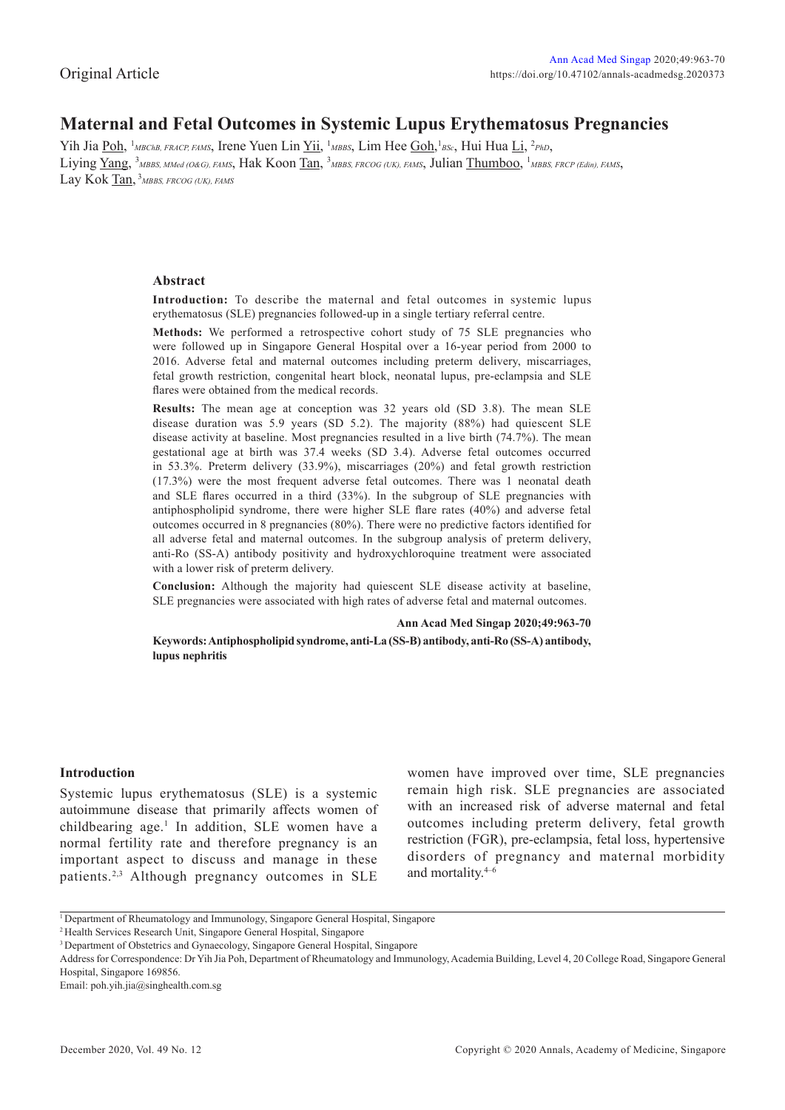# **Maternal and Fetal Outcomes in Systemic Lupus Erythematosus Pregnancies**

Yih Jia <u>Poh</u>, <sup>1</sup>MBChB, FRACP, FAMS, Irene Yuen Lin <u>Yii</u>, <sup>1</sup>MBBS, Lim Hee <u>Goh</u>, <sup>1</sup>BSc, Hui Hua Li, <sup>2</sup>PhD, Liying Yang, <sup>3</sup>MBBS, MMed (O&G), FAMS, Hak Koon Tan, <sup>3</sup>MBBS, FRCOG (UK), FAMS, Julian Thumboo, <sup>1</sup>MBBS, FRCP (Edin), FAMS, Lay Kok Tan, <sup>3</sup> MBBS, FRCOG (UK), FAMS

# **Abstract**

**Introduction:** To describe the maternal and fetal outcomes in systemic lupus erythematosus (SLE) pregnancies followed-up in a single tertiary referral centre.

**Methods:** We performed a retrospective cohort study of 75 SLE pregnancies who were followed up in Singapore General Hospital over a 16-year period from 2000 to 2016. Adverse fetal and maternal outcomes including preterm delivery, miscarriages, fetal growth restriction, congenital heart block, neonatal lupus, pre-eclampsia and SLE flares were obtained from the medical records.

**Results:** The mean age at conception was 32 years old (SD 3.8). The mean SLE disease duration was 5.9 years (SD 5.2). The majority (88%) had quiescent SLE disease activity at baseline. Most pregnancies resulted in a live birth (74.7%). The mean gestational age at birth was 37.4 weeks (SD 3.4). Adverse fetal outcomes occurred in 53.3%. Preterm delivery (33.9%), miscarriages (20%) and fetal growth restriction (17.3%) were the most frequent adverse fetal outcomes. There was 1 neonatal death and SLE flares occurred in a third (33%). In the subgroup of SLE pregnancies with antiphospholipid syndrome, there were higher SLE flare rates (40%) and adverse fetal outcomes occurred in 8 pregnancies (80%). There were no predictive factors identified for all adverse fetal and maternal outcomes. In the subgroup analysis of preterm delivery, anti-Ro (SS-A) antibody positivity and hydroxychloroquine treatment were associated with a lower risk of preterm delivery.

**Conclusion:** Although the majority had quiescent SLE disease activity at baseline, SLE pregnancies were associated with high rates of adverse fetal and maternal outcomes.

**Ann Acad Med Singap 2020;49:963-70**

**Keywords: Antiphospholipid syndrome, anti-La (SS-B) antibody, anti-Ro (SS-A) antibody, lupus nephritis**

# **Introduction**

Systemic lupus erythematosus (SLE) is a systemic autoimmune disease that primarily affects women of childbearing age.<sup>1</sup> In addition, SLE women have a normal fertility rate and therefore pregnancy is an important aspect to discuss and manage in these patients.2,3 Although pregnancy outcomes in SLE women have improved over time, SLE pregnancies remain high risk. SLE pregnancies are associated with an increased risk of adverse maternal and fetal outcomes including preterm delivery, fetal growth restriction (FGR), pre-eclampsia, fetal loss, hypertensive disorders of pregnancy and maternal morbidity and mortality.4–6

Email: poh.yih.jia@singhealth.com.sg

<sup>&</sup>lt;sup>1</sup> Department of Rheumatology and Immunology, Singapore General Hospital, Singapore

<sup>2</sup> Health Services Research Unit, Singapore General Hospital, Singapore

<sup>&</sup>lt;sup>3</sup> Department of Obstetrics and Gynaecology, Singapore General Hospital, Singapore

Address for Correspondence: Dr Yih Jia Poh, Department of Rheumatology and Immunology, Academia Building, Level 4, 20 College Road, Singapore General Hospital, Singapore 169856.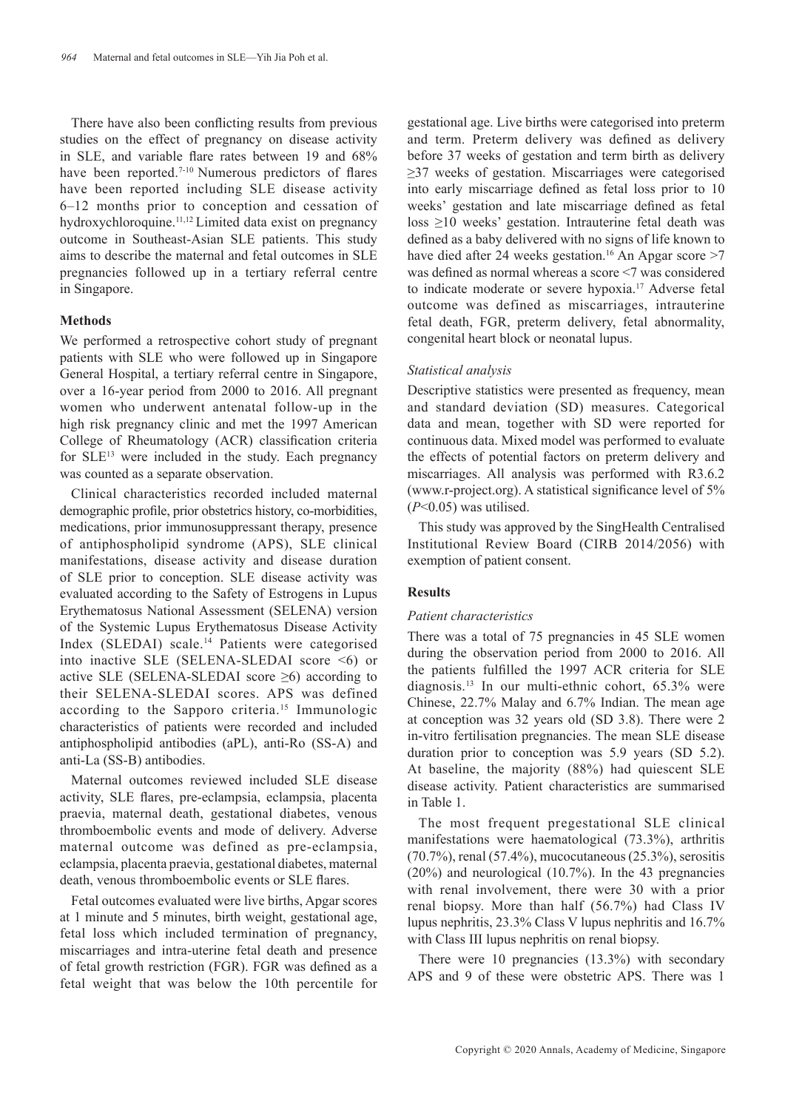There have also been conflicting results from previous studies on the effect of pregnancy on disease activity in SLE, and variable flare rates between 19 and 68% have been reported.<sup>7-10</sup> Numerous predictors of flares have been reported including SLE disease activity 6–12 months prior to conception and cessation of hydroxychloroquine.11,12 Limited data exist on pregnancy outcome in Southeast-Asian SLE patients. This study aims to describe the maternal and fetal outcomes in SLE pregnancies followed up in a tertiary referral centre in Singapore.

### **Methods**

We performed a retrospective cohort study of pregnant patients with SLE who were followed up in Singapore General Hospital, a tertiary referral centre in Singapore, over a 16-year period from 2000 to 2016. All pregnant women who underwent antenatal follow-up in the high risk pregnancy clinic and met the 1997 American College of Rheumatology (ACR) classification criteria for SLE13 were included in the study. Each pregnancy was counted as a separate observation.

Clinical characteristics recorded included maternal demographic profile, prior obstetrics history, co-morbidities, medications, prior immunosuppressant therapy, presence of antiphospholipid syndrome (APS), SLE clinical manifestations, disease activity and disease duration of SLE prior to conception. SLE disease activity was evaluated according to the Safety of Estrogens in Lupus Erythematosus National Assessment (SELENA) version of the Systemic Lupus Erythematosus Disease Activity Index (SLEDAI) scale.<sup>14</sup> Patients were categorised into inactive SLE (SELENA-SLEDAI score <6) or active SLE (SELENA-SLEDAI score ≥6) according to their SELENA-SLEDAI scores. APS was defined according to the Sapporo criteria.15 Immunologic characteristics of patients were recorded and included antiphospholipid antibodies (aPL), anti-Ro (SS-A) and anti-La (SS-B) antibodies.

Maternal outcomes reviewed included SLE disease activity, SLE flares, pre-eclampsia, eclampsia, placenta praevia, maternal death, gestational diabetes, venous thromboembolic events and mode of delivery. Adverse maternal outcome was defined as pre-eclampsia, eclampsia, placenta praevia, gestational diabetes, maternal death, venous thromboembolic events or SLE flares.

Fetal outcomes evaluated were live births, Apgar scores at 1 minute and 5 minutes, birth weight, gestational age, fetal loss which included termination of pregnancy, miscarriages and intra-uterine fetal death and presence of fetal growth restriction (FGR). FGR was defined as a fetal weight that was below the 10th percentile for

gestational age. Live births were categorised into preterm and term. Preterm delivery was defined as delivery before 37 weeks of gestation and term birth as delivery ≥37 weeks of gestation. Miscarriages were categorised into early miscarriage defined as fetal loss prior to 10 weeks' gestation and late miscarriage defined as fetal loss ≥10 weeks' gestation. Intrauterine fetal death was defined as a baby delivered with no signs of life known to have died after 24 weeks gestation.<sup>16</sup> An Apgar score  $>7$ was defined as normal whereas a score <7 was considered to indicate moderate or severe hypoxia.<sup>17</sup> Adverse fetal outcome was defined as miscarriages, intrauterine fetal death, FGR, preterm delivery, fetal abnormality, congenital heart block or neonatal lupus.

# *Statistical analysis*

Descriptive statistics were presented as frequency, mean and standard deviation (SD) measures. Categorical data and mean, together with SD were reported for continuous data. Mixed model was performed to evaluate the effects of potential factors on preterm delivery and miscarriages. All analysis was performed with R3.6.2 (www.r-project.org). A statistical significance level of 5% (*P*<0.05) was utilised.

This study was approved by the SingHealth Centralised Institutional Review Board (CIRB 2014/2056) with exemption of patient consent.

### **Results**

### *Patient characteristics*

There was a total of 75 pregnancies in 45 SLE women during the observation period from 2000 to 2016. All the patients fulfilled the 1997 ACR criteria for SLE diagnosis.13 In our multi-ethnic cohort, 65.3% were Chinese, 22.7% Malay and 6.7% Indian. The mean age at conception was 32 years old (SD 3.8). There were 2 in-vitro fertilisation pregnancies. The mean SLE disease duration prior to conception was 5.9 years (SD 5.2). At baseline, the majority (88%) had quiescent SLE disease activity. Patient characteristics are summarised in Table 1.

The most frequent pregestational SLE clinical manifestations were haematological (73.3%), arthritis (70.7%), renal (57.4%), mucocutaneous (25.3%), serositis (20%) and neurological (10.7%). In the 43 pregnancies with renal involvement, there were 30 with a prior renal biopsy. More than half (56.7%) had Class IV lupus nephritis, 23.3% Class V lupus nephritis and 16.7% with Class III lupus nephritis on renal biopsy.

There were 10 pregnancies (13.3%) with secondary APS and 9 of these were obstetric APS. There was 1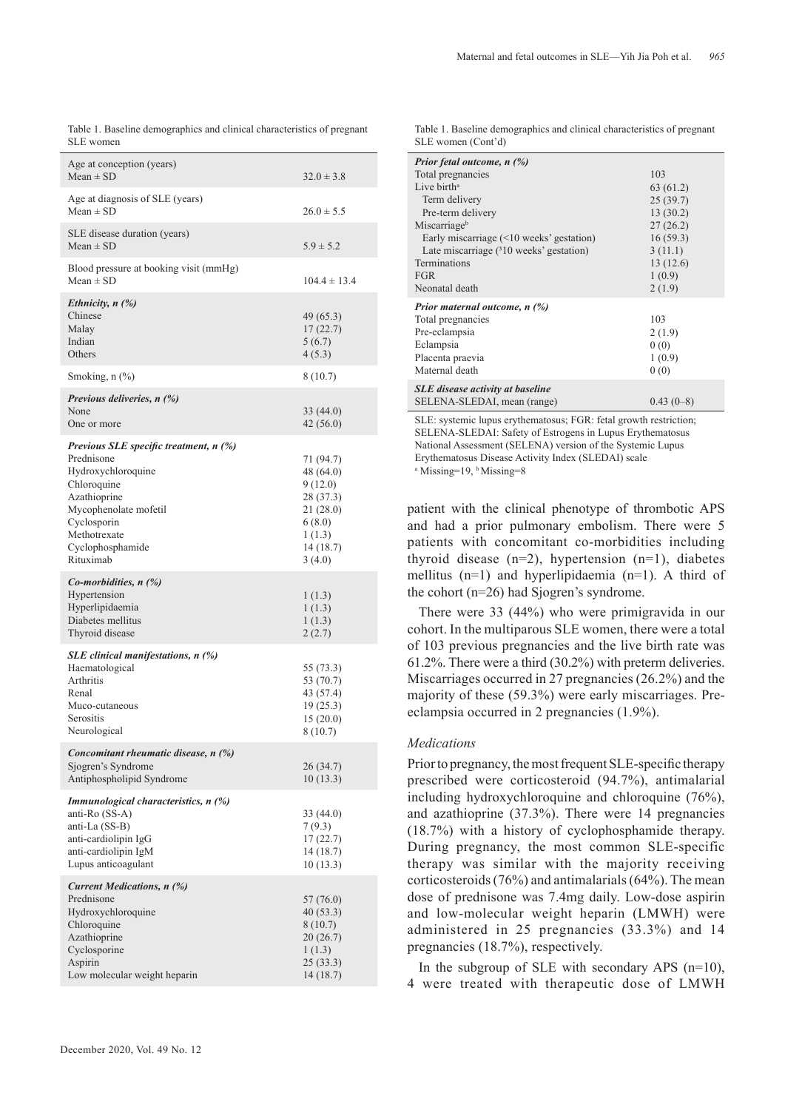Table 1. Baseline demographics and clinical characteristics of pregnant SLE women

| Age at conception (years)<br>$Mean \pm SD$                                                                                                                                                         | $32.0 \pm 3.8$                                                                                         |
|----------------------------------------------------------------------------------------------------------------------------------------------------------------------------------------------------|--------------------------------------------------------------------------------------------------------|
| Age at diagnosis of SLE (years)<br>$Mean \pm SD$                                                                                                                                                   | $26.0 \pm 5.5$                                                                                         |
| SLE disease duration (years)<br>Mean $\pm$ SD                                                                                                                                                      | $5.9 \pm 5.2$                                                                                          |
| Blood pressure at booking visit (mmHg)<br>Mean $\pm$ SD                                                                                                                                            | $104.4 \pm 13.4$                                                                                       |
| Ethnicity, $n$ (%)<br>Chinese<br>Malay<br>Indian<br>Others                                                                                                                                         | 49 (65.3)<br>17(22.7)<br>5(6.7)<br>4(5.3)                                                              |
| Smoking, $n$ $(\%)$                                                                                                                                                                                | 8 (10.7)                                                                                               |
| Previous deliveries, $n$ (%)<br>None<br>One or more                                                                                                                                                | 33(44.0)<br>42 (56.0)                                                                                  |
| Previous SLE specific treatment, n (%)<br>Prednisone<br>Hydroxychloroquine<br>Chloroquine<br>Azathioprine<br>Mycophenolate mofetil<br>Cyclosporin<br>Methotrexate<br>Cyclophosphamide<br>Rituximab | 71 (94.7)<br>48 (64.0)<br>9 (12.0)<br>28 (37.3)<br>21 (28.0)<br>6(8.0)<br>1(1.3)<br>14(18.7)<br>3(4.0) |
| <i>Co-morbidities, n <math>(\%)</math></i><br>Hypertension<br>Hyperlipidaemia<br>Diabetes mellitus<br>Thyroid disease                                                                              | 1(1.3)<br>1(1.3)<br>1(1.3)<br>2(2.7)                                                                   |
| SLE clinical manifestations, n (%)<br>Haematological<br>Arthritis<br>Renal<br>Muco-cutaneous<br>Serositis<br>Neurological                                                                          | 55 (73.3)<br>53 (70.7)<br>43 (57.4)<br>19(25.3)<br>15(20.0)<br>8 (10.7)                                |
| Concomitant rheumatic disease, n (%)<br>Sjogren's Syndrome<br>Antiphospholipid Syndrome                                                                                                            | 26 (34.7)<br>10(13.3)                                                                                  |
| Immunological characteristics, n (%)<br>anti-Ro (SS-A)<br>anti-La (SS-B)<br>anti-cardiolipin IgG<br>anti-cardiolipin IgM<br>Lupus anticoagulant                                                    | 33 (44.0)<br>7(9.3)<br>17(22.7)<br>14(18.7)<br>10 (13.3)                                               |
| <b>Current Medications, n (%)</b><br>Prednisone<br>Hydroxychloroquine<br>Chloroquine<br>Azathioprine<br>Cyclosporine<br>Aspirin<br>Low molecular weight heparin                                    | 57 (76.0)<br>40 (53.3)<br>8(10.7)<br>20 (26.7)<br>1(1.3)<br>25 (33.3)<br>14 (18.7)                     |

Table 1. Baseline demographics and clinical characteristics of pregnant SLE women (Cont'd)

| Prior fetal outcome, n (%)                     |             |
|------------------------------------------------|-------------|
| Total pregnancies                              | 103         |
| Live birth <sup>a</sup>                        | 63 (61.2)   |
| Term delivery                                  | 25(39.7)    |
| Pre-term delivery                              | 13(30.2)    |
| Miscarriage <sup>b</sup>                       | 27(26.2)    |
| Early miscarriage $(\leq 10$ weeks' gestation) | 16(59.3)    |
| Late miscarriage (310 weeks' gestation)        | 3(11.1)     |
| <b>Terminations</b>                            | 13(12.6)    |
| <b>FGR</b>                                     | 1(0.9)      |
| Neonatal death                                 | 2(1.9)      |
| Prior maternal outcome, $n$ (%)                |             |
| Total pregnancies                              | 103         |
| Pre-eclampsia                                  | 2(1.9)      |
| Eclampsia                                      | 0(0)        |
| Placenta praevia                               | 1(0.9)      |
| Maternal death                                 | 0(0)        |
| <b>SLE</b> disease activity at baseline        |             |
| SELENA-SLEDAI, mean (range)                    | $0.43(0-8)$ |

SLE: systemic lupus erythematosus; FGR: fetal growth restriction; SELENA-SLEDAI: Safety of Estrogens in Lupus Erythematosus National Assessment (SELENA) version of the Systemic Lupus Erythematosus Disease Activity Index (SLEDAI) scale

<sup>a</sup> Missing=19, <sup>b</sup> Missing=8

patient with the clinical phenotype of thrombotic APS and had a prior pulmonary embolism. There were 5 patients with concomitant co-morbidities including thyroid disease  $(n=2)$ , hypertension  $(n=1)$ , diabetes mellitus (n=1) and hyperlipidaemia (n=1). A third of the cohort (n=26) had Sjogren's syndrome.

There were 33 (44%) who were primigravida in our cohort. In the multiparous SLE women, there were a total of 103 previous pregnancies and the live birth rate was 61.2%. There were a third (30.2%) with preterm deliveries. Miscarriages occurred in 27 pregnancies (26.2%) and the majority of these (59.3%) were early miscarriages. Preeclampsia occurred in 2 pregnancies (1.9%).

#### *Medications*

Prior to pregnancy, the most frequent SLE-specific therapy prescribed were corticosteroid (94.7%), antimalarial including hydroxychloroquine and chloroquine (76%), and azathioprine (37.3%). There were 14 pregnancies (18.7%) with a history of cyclophosphamide therapy. During pregnancy, the most common SLE-specific therapy was similar with the majority receiving corticosteroids (76%) and antimalarials (64%). The mean dose of prednisone was 7.4mg daily. Low-dose aspirin and low-molecular weight heparin (LMWH) were administered in 25 pregnancies (33.3%) and 14 pregnancies (18.7%), respectively.

In the subgroup of SLE with secondary APS  $(n=10)$ , 4 were treated with therapeutic dose of LMWH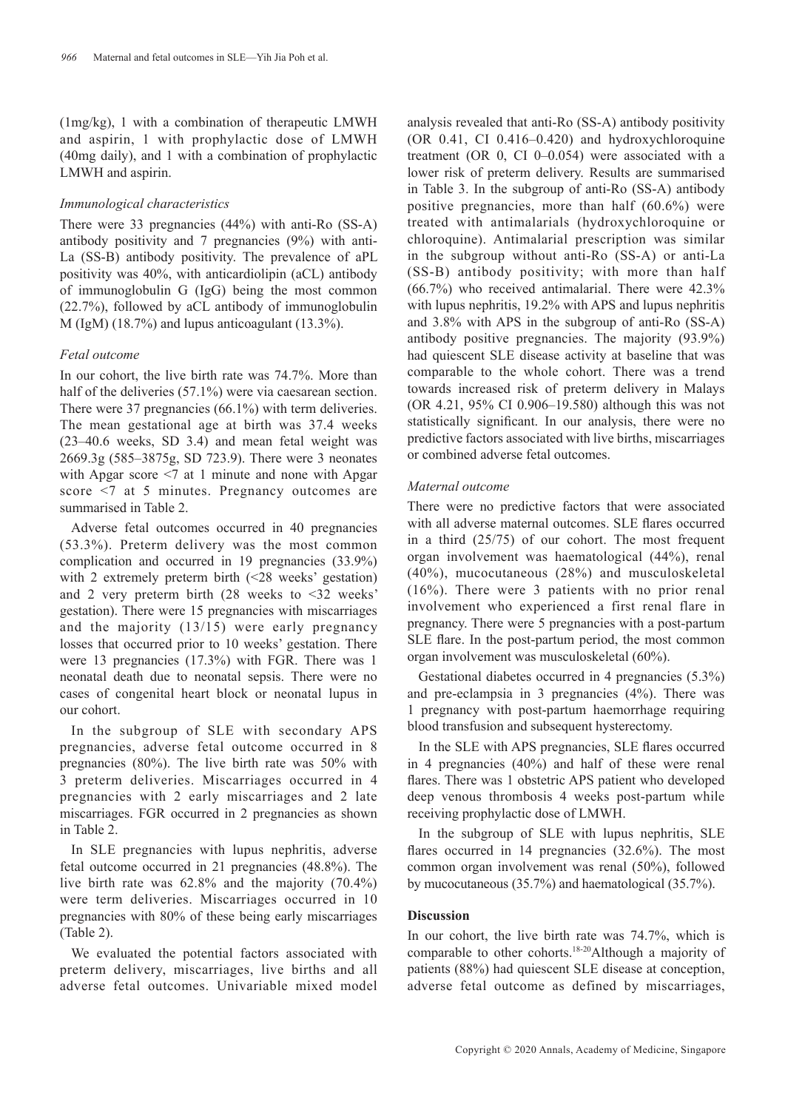(1mg/kg), 1 with a combination of therapeutic LMWH and aspirin, 1 with prophylactic dose of LMWH (40mg daily), and 1 with a combination of prophylactic LMWH and aspirin.

# *Immunological characteristics*

There were 33 pregnancies (44%) with anti-Ro (SS-A) antibody positivity and 7 pregnancies (9%) with anti-La (SS-B) antibody positivity. The prevalence of aPL positivity was 40%, with anticardiolipin (aCL) antibody of immunoglobulin G (IgG) being the most common (22.7%), followed by aCL antibody of immunoglobulin M (IgM) (18.7%) and lupus anticoagulant (13.3%).

# *Fetal outcome*

In our cohort, the live birth rate was 74.7%. More than half of the deliveries (57.1%) were via caesarean section. There were 37 pregnancies (66.1%) with term deliveries. The mean gestational age at birth was 37.4 weeks (23–40.6 weeks, SD 3.4) and mean fetal weight was 2669.3g (585–3875g, SD 723.9). There were 3 neonates with Apgar score <7 at 1 minute and none with Apgar score <7 at 5 minutes. Pregnancy outcomes are summarised in Table 2.

Adverse fetal outcomes occurred in 40 pregnancies (53.3%). Preterm delivery was the most common complication and occurred in 19 pregnancies (33.9%) with 2 extremely preterm birth (<28 weeks' gestation) and 2 very preterm birth (28 weeks to <32 weeks' gestation). There were 15 pregnancies with miscarriages and the majority (13/15) were early pregnancy losses that occurred prior to 10 weeks' gestation. There were 13 pregnancies (17.3%) with FGR. There was 1 neonatal death due to neonatal sepsis. There were no cases of congenital heart block or neonatal lupus in our cohort.

In the subgroup of SLE with secondary APS pregnancies, adverse fetal outcome occurred in 8 pregnancies (80%). The live birth rate was 50% with 3 preterm deliveries. Miscarriages occurred in 4 pregnancies with 2 early miscarriages and 2 late miscarriages. FGR occurred in 2 pregnancies as shown in Table 2.

In SLE pregnancies with lupus nephritis, adverse fetal outcome occurred in 21 pregnancies (48.8%). The live birth rate was 62.8% and the majority (70.4%) were term deliveries. Miscarriages occurred in 10 pregnancies with 80% of these being early miscarriages (Table 2).

We evaluated the potential factors associated with preterm delivery, miscarriages, live births and all adverse fetal outcomes. Univariable mixed model

analysis revealed that anti-Ro (SS-A) antibody positivity (OR 0.41, CI 0.416–0.420) and hydroxychloroquine treatment (OR 0, CI 0–0.054) were associated with a lower risk of preterm delivery. Results are summarised in Table 3. In the subgroup of anti-Ro (SS-A) antibody positive pregnancies, more than half (60.6%) were treated with antimalarials (hydroxychloroquine or chloroquine). Antimalarial prescription was similar in the subgroup without anti-Ro (SS-A) or anti-La (SS-B) antibody positivity; with more than half (66.7%) who received antimalarial. There were 42.3% with lupus nephritis, 19.2% with APS and lupus nephritis and 3.8% with APS in the subgroup of anti-Ro (SS-A) antibody positive pregnancies. The majority (93.9%) had quiescent SLE disease activity at baseline that was comparable to the whole cohort. There was a trend towards increased risk of preterm delivery in Malays (OR 4.21, 95% CI 0.906–19.580) although this was not statistically significant. In our analysis, there were no predictive factors associated with live births, miscarriages or combined adverse fetal outcomes.

# *Maternal outcome*

There were no predictive factors that were associated with all adverse maternal outcomes. SLE flares occurred in a third (25/75) of our cohort. The most frequent organ involvement was haematological (44%), renal (40%), mucocutaneous (28%) and musculoskeletal (16%). There were 3 patients with no prior renal involvement who experienced a first renal flare in pregnancy. There were 5 pregnancies with a post-partum SLE flare. In the post-partum period, the most common organ involvement was musculoskeletal (60%).

Gestational diabetes occurred in 4 pregnancies (5.3%) and pre-eclampsia in 3 pregnancies (4%). There was 1 pregnancy with post-partum haemorrhage requiring blood transfusion and subsequent hysterectomy.

In the SLE with APS pregnancies, SLE flares occurred in 4 pregnancies (40%) and half of these were renal flares. There was 1 obstetric APS patient who developed deep venous thrombosis 4 weeks post-partum while receiving prophylactic dose of LMWH.

In the subgroup of SLE with lupus nephritis, SLE flares occurred in 14 pregnancies (32.6%). The most common organ involvement was renal (50%), followed by mucocutaneous (35.7%) and haematological (35.7%).

# **Discussion**

In our cohort, the live birth rate was 74.7%, which is comparable to other cohorts.18-20Although a majority of patients (88%) had quiescent SLE disease at conception, adverse fetal outcome as defined by miscarriages,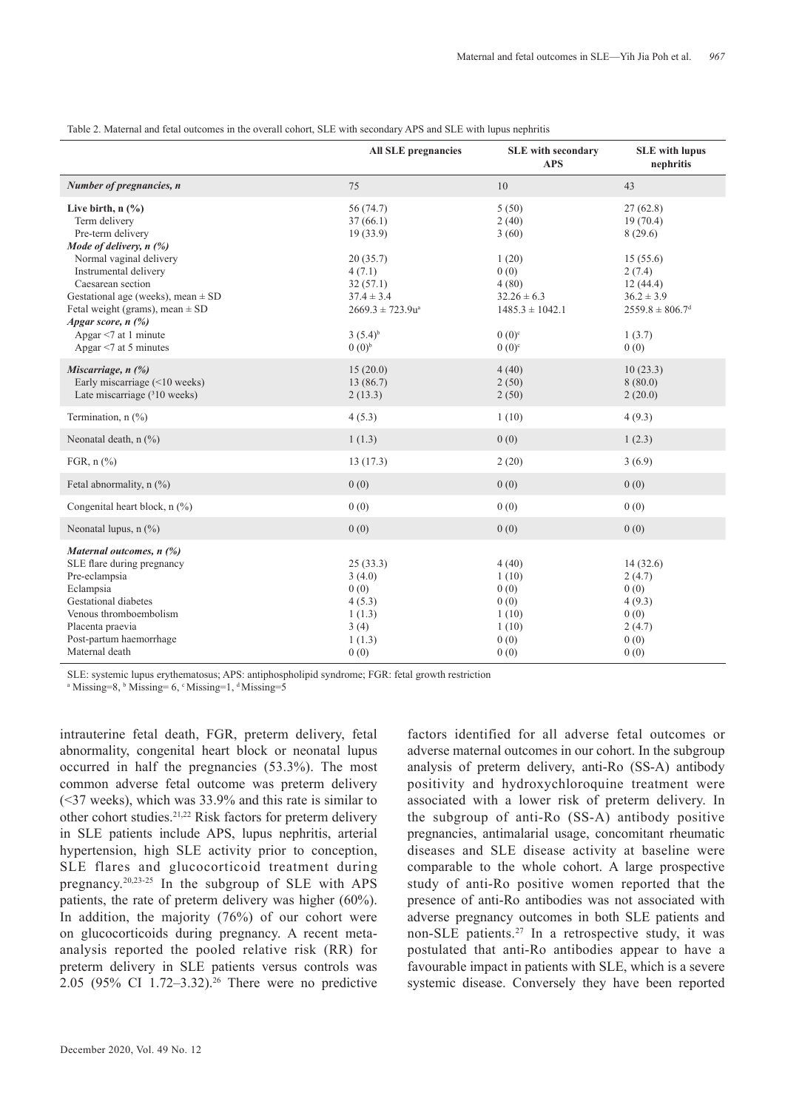|                                                                                                                                                                                                         | <b>All SLE pregnancies</b>                                                | <b>SLE</b> with secondary<br><b>APS</b>                          | <b>SLE</b> with lupus<br>nephritis                                                  |
|---------------------------------------------------------------------------------------------------------------------------------------------------------------------------------------------------------|---------------------------------------------------------------------------|------------------------------------------------------------------|-------------------------------------------------------------------------------------|
| Number of pregnancies, n                                                                                                                                                                                | 75                                                                        | 10                                                               | 43                                                                                  |
| Live birth, $n$ $(\%)$<br>Term delivery<br>Pre-term delivery<br>Mode of delivery, $n$ (%)                                                                                                               | 56 (74.7)<br>37(66.1)<br>19(33.9)                                         | 5(50)<br>2(40)<br>3(60)                                          | 27(62.8)<br>19(70.4)<br>8(29.6)                                                     |
| Normal vaginal delivery<br>Instrumental delivery<br>Caesarean section<br>Gestational age (weeks), mean $\pm$ SD<br>Fetal weight (grams), mean $\pm$ SD<br>Apgar score, $n$ $\binom{0}{0}$               | 20(35.7)<br>4(7.1)<br>32(57.1)<br>$37.4 \pm 3.4$<br>$2669.3 \pm 723.9u^a$ | 1(20)<br>0(0)<br>4(80)<br>$32.26 \pm 6.3$<br>$1485.3 \pm 1042.1$ | 15(55.6)<br>2(7.4)<br>12(44.4)<br>$36.2 \pm 3.9$<br>$2559.8 \pm 806.7$ <sup>d</sup> |
| Apgar $\leq$ 7 at 1 minute<br>Apgar $<$ 7 at 5 minutes                                                                                                                                                  | $3(5.4)^{b}$<br>$(0.0)^{b}$                                               | $0(0)^{c}$<br>$0(0)^{c}$                                         | 1(3.7)<br>0(0)                                                                      |
| Miscarriage, $n$ $\left(\frac{\%}{\%}\right)$<br>Early miscarriage (<10 weeks)<br>Late miscarriage $(^{3}10$ weeks)                                                                                     | 15(20.0)<br>13(86.7)<br>2(13.3)                                           | 4(40)<br>2(50)<br>2(50)                                          | 10(23.3)<br>8(80.0)<br>2(20.0)                                                      |
| Termination, n (%)                                                                                                                                                                                      | 4(5.3)                                                                    | 1(10)                                                            | 4(9.3)                                                                              |
| Neonatal death, n (%)                                                                                                                                                                                   | 1(1.3)                                                                    | 0(0)                                                             | 1(2.3)                                                                              |
| FGR, $n$ $\left(\frac{9}{0}\right)$                                                                                                                                                                     | 13(17.3)                                                                  | 2(20)                                                            | 3(6.9)                                                                              |
| Fetal abnormality, $n$ (%)                                                                                                                                                                              | 0(0)                                                                      | 0(0)                                                             | 0(0)                                                                                |
| Congenital heart block, n (%)                                                                                                                                                                           | 0(0)                                                                      | 0(0)                                                             | 0(0)                                                                                |
| Neonatal lupus, $n$ (%)                                                                                                                                                                                 | 0(0)                                                                      | 0(0)                                                             | 0(0)                                                                                |
| Maternal outcomes, n (%)<br>SLE flare during pregnancy<br>Pre-eclampsia<br>Eclampsia<br>Gestational diabetes<br>Venous thromboembolism<br>Placenta praevia<br>Post-partum haemorrhage<br>Maternal death | 25(33.3)<br>3(4.0)<br>0(0)<br>4(5.3)<br>1(1.3)<br>3(4)<br>1(1.3)<br>0(0)  | 4(40)<br>1(10)<br>0(0)<br>0(0)<br>1(10)<br>1(10)<br>0(0)<br>0(0) | 14(32.6)<br>2(4.7)<br>0(0)<br>4(9.3)<br>0(0)<br>2(4.7)<br>0(0)<br>0(0)              |

Table 2. Maternal and fetal outcomes in the overall cohort, SLE with secondary APS and SLE with lupus nephritis

SLE: systemic lupus erythematosus; APS: antiphospholipid syndrome; FGR: fetal growth restriction

<sup>a</sup> Missing=8, <sup>b</sup> Missing= 6, <sup>c</sup> Missing=1, <sup>d</sup> Missing=5

intrauterine fetal death, FGR, preterm delivery, fetal abnormality, congenital heart block or neonatal lupus occurred in half the pregnancies (53.3%). The most common adverse fetal outcome was preterm delivery (<37 weeks), which was 33.9% and this rate is similar to other cohort studies.21,22 Risk factors for preterm delivery in SLE patients include APS, lupus nephritis, arterial hypertension, high SLE activity prior to conception, SLE flares and glucocorticoid treatment during pregnancy.20,23-25 In the subgroup of SLE with APS patients, the rate of preterm delivery was higher (60%). In addition, the majority  $(76%)$  of our cohort were on glucocorticoids during pregnancy. A recent metaanalysis reported the pooled relative risk (RR) for preterm delivery in SLE patients versus controls was 2.05 (95% CI 1.72–3.32).26 There were no predictive

factors identified for all adverse fetal outcomes or adverse maternal outcomes in our cohort. In the subgroup analysis of preterm delivery, anti-Ro (SS-A) antibody positivity and hydroxychloroquine treatment were associated with a lower risk of preterm delivery. In the subgroup of anti-Ro (SS-A) antibody positive pregnancies, antimalarial usage, concomitant rheumatic diseases and SLE disease activity at baseline were comparable to the whole cohort. A large prospective study of anti-Ro positive women reported that the presence of anti-Ro antibodies was not associated with adverse pregnancy outcomes in both SLE patients and non-SLE patients.27 In a retrospective study, it was postulated that anti-Ro antibodies appear to have a favourable impact in patients with SLE, which is a severe systemic disease. Conversely they have been reported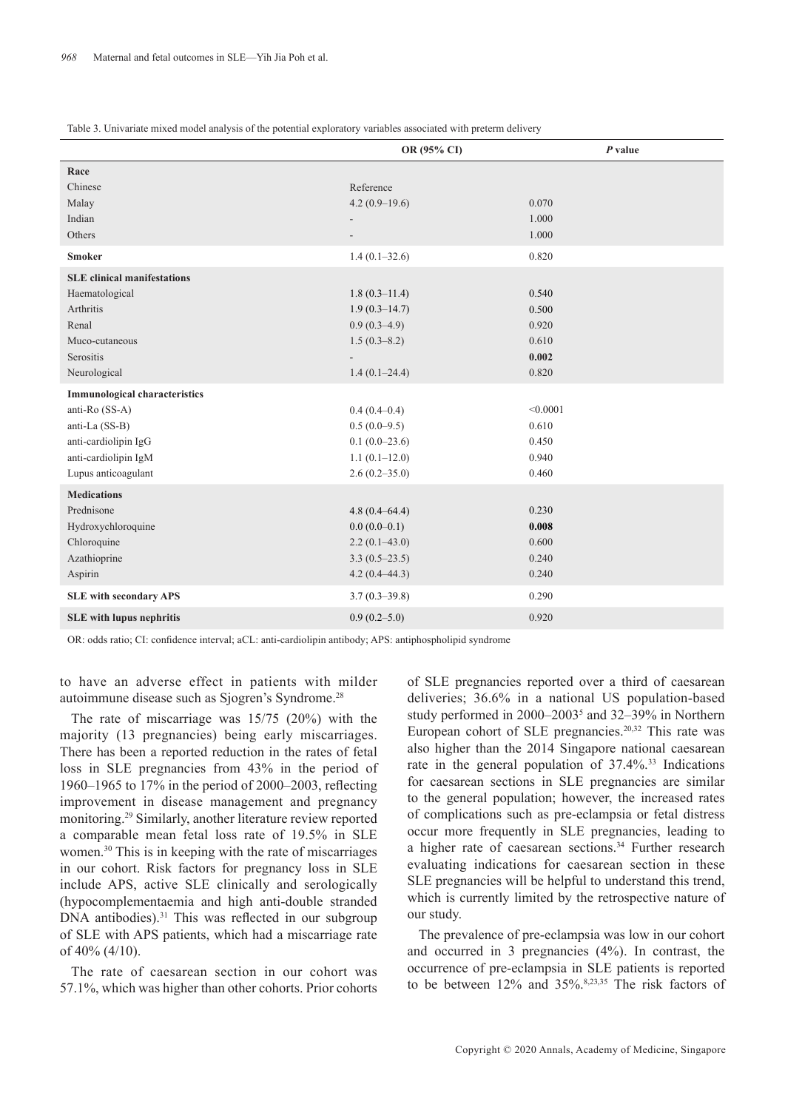| Table 3. Univariate mixed model analysis of the potential exploratory variables associated with preterm delivery |  |
|------------------------------------------------------------------------------------------------------------------|--|
|------------------------------------------------------------------------------------------------------------------|--|

|                                      | OR (95% CI)              | $P$ value |
|--------------------------------------|--------------------------|-----------|
| Race                                 |                          |           |
| Chinese                              | Reference                |           |
| Malay                                | $4.2(0.9-19.6)$          | 0.070     |
| Indian                               | $\overline{\phantom{a}}$ | 1.000     |
| Others                               |                          | 1.000     |
| <b>Smoker</b>                        | $1.4(0.1 - 32.6)$        | 0.820     |
| <b>SLE</b> clinical manifestations   |                          |           |
| Haematological                       | $1.8(0.3-11.4)$          | 0.540     |
| Arthritis                            | $1.9(0.3-14.7)$          | 0.500     |
| Renal                                | $0.9(0.3-4.9)$           | 0.920     |
| Muco-cutaneous                       | $1.5(0.3 - 8.2)$         | 0.610     |
| Serositis                            |                          | 0.002     |
| Neurological                         | $1.4(0.1-24.4)$          | 0.820     |
| <b>Immunological characteristics</b> |                          |           |
| anti-Ro (SS-A)                       | $0.4(0.4-0.4)$           | < 0.0001  |
| anti-La (SS-B)                       | $0.5(0.0-9.5)$           | 0.610     |
| anti-cardiolipin IgG                 | $0.1(0.0-23.6)$          | 0.450     |
| anti-cardiolipin IgM                 | $1.1(0.1-12.0)$          | 0.940     |
| Lupus anticoagulant                  | $2.6(0.2 - 35.0)$        | 0.460     |
| <b>Medications</b>                   |                          |           |
| Prednisone                           | $4.8(0.4 - 64.4)$        | 0.230     |
| Hydroxychloroquine                   | $0.0(0.0-0.1)$           | 0.008     |
| Chloroquine                          | $2.2(0.1-43.0)$          | 0.600     |
| Azathioprine                         | $3.3(0.5-23.5)$          | 0.240     |
| Aspirin                              | $4.2(0.4 - 44.3)$        | 0.240     |
| <b>SLE</b> with secondary APS        | $3.7(0.3-39.8)$          | 0.290     |
| <b>SLE</b> with lupus nephritis      | $0.9(0.2 - 5.0)$         | 0.920     |
|                                      |                          |           |

OR: odds ratio; CI: confidence interval; aCL: anti-cardiolipin antibody; APS: antiphospholipid syndrome

to have an adverse effect in patients with milder autoimmune disease such as Sjogren's Syndrome.28

The rate of miscarriage was 15/75 (20%) with the majority (13 pregnancies) being early miscarriages. There has been a reported reduction in the rates of fetal loss in SLE pregnancies from 43% in the period of 1960–1965 to 17% in the period of 2000–2003, reflecting improvement in disease management and pregnancy monitoring.29 Similarly, another literature review reported a comparable mean fetal loss rate of 19.5% in SLE women.30 This is in keeping with the rate of miscarriages in our cohort. Risk factors for pregnancy loss in SLE include APS, active SLE clinically and serologically (hypocomplementaemia and high anti-double stranded DNA antibodies).<sup>31</sup> This was reflected in our subgroup of SLE with APS patients, which had a miscarriage rate of 40% (4/10).

The rate of caesarean section in our cohort was 57.1%, which was higher than other cohorts. Prior cohorts of SLE pregnancies reported over a third of caesarean deliveries; 36.6% in a national US population-based study performed in 2000–2003<sup>5</sup> and 32–39% in Northern European cohort of SLE pregnancies.<sup>20,32</sup> This rate was also higher than the 2014 Singapore national caesarean rate in the general population of  $37.4\%$ <sup>33</sup> Indications for caesarean sections in SLE pregnancies are similar to the general population; however, the increased rates of complications such as pre-eclampsia or fetal distress occur more frequently in SLE pregnancies, leading to a higher rate of caesarean sections.<sup>34</sup> Further research evaluating indications for caesarean section in these SLE pregnancies will be helpful to understand this trend, which is currently limited by the retrospective nature of our study.

The prevalence of pre-eclampsia was low in our cohort and occurred in 3 pregnancies (4%). In contrast, the occurrence of pre-eclampsia in SLE patients is reported to be between 12% and 35%.8,23,35 The risk factors of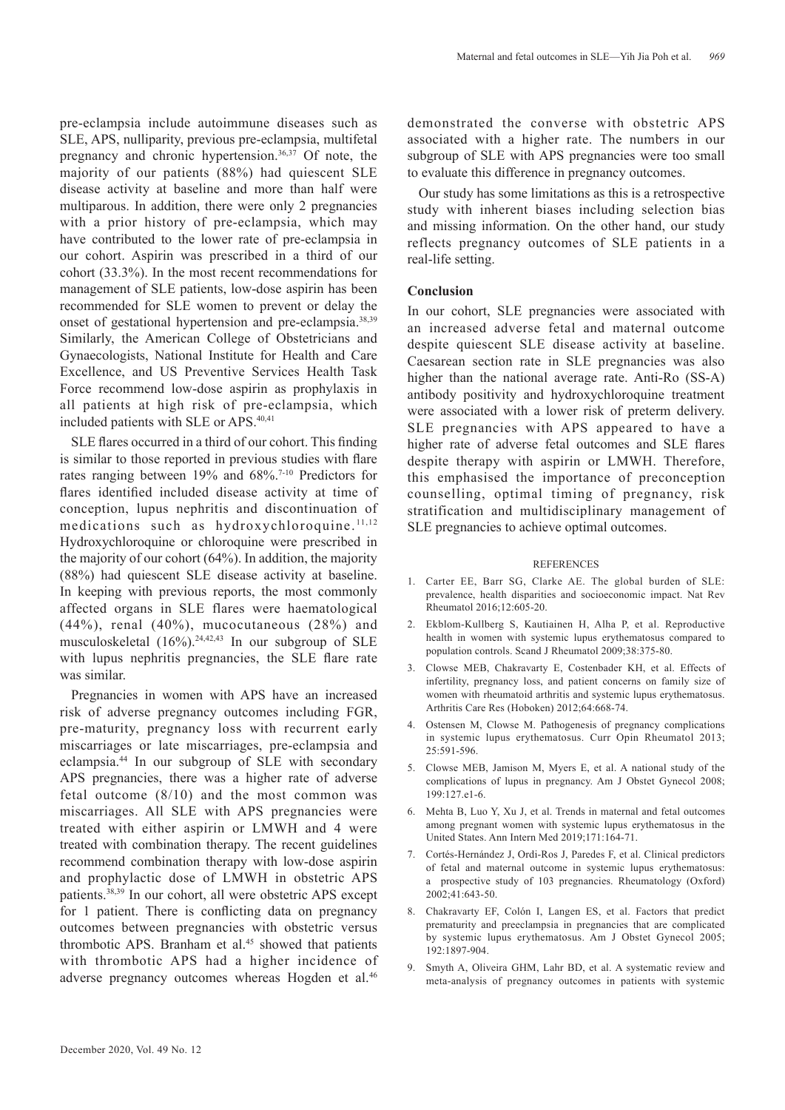pre-eclampsia include autoimmune diseases such as SLE, APS, nulliparity, previous pre-eclampsia, multifetal pregnancy and chronic hypertension.36,37 Of note, the majority of our patients (88%) had quiescent SLE disease activity at baseline and more than half were multiparous. In addition, there were only 2 pregnancies with a prior history of pre-eclampsia, which may have contributed to the lower rate of pre-eclampsia in our cohort. Aspirin was prescribed in a third of our cohort (33.3%). In the most recent recommendations for management of SLE patients, low-dose aspirin has been recommended for SLE women to prevent or delay the onset of gestational hypertension and pre-eclampsia.38,39 Similarly, the American College of Obstetricians and Gynaecologists, National Institute for Health and Care Excellence, and US Preventive Services Health Task Force recommend low-dose aspirin as prophylaxis in all patients at high risk of pre-eclampsia, which included patients with SLE or APS.40,41

SLE flares occurred in a third of our cohort. This finding is similar to those reported in previous studies with flare rates ranging between 19% and 68%.7-10 Predictors for flares identified included disease activity at time of conception, lupus nephritis and discontinuation of medications such as hydroxychloroquine.<sup>11,12</sup> Hydroxychloroquine or chloroquine were prescribed in the majority of our cohort (64%). In addition, the majority (88%) had quiescent SLE disease activity at baseline. In keeping with previous reports, the most commonly affected organs in SLE flares were haematological (44%), renal (40%), mucocutaneous (28%) and musculoskeletal (16%).24,42,43 In our subgroup of SLE with lupus nephritis pregnancies, the SLE flare rate was similar.

Pregnancies in women with APS have an increased risk of adverse pregnancy outcomes including FGR, pre-maturity, pregnancy loss with recurrent early miscarriages or late miscarriages, pre-eclampsia and eclampsia.44 In our subgroup of SLE with secondary APS pregnancies, there was a higher rate of adverse fetal outcome (8/10) and the most common was miscarriages. All SLE with APS pregnancies were treated with either aspirin or LMWH and 4 were treated with combination therapy. The recent guidelines recommend combination therapy with low-dose aspirin and prophylactic dose of LMWH in obstetric APS patients.38,39 In our cohort, all were obstetric APS except for 1 patient. There is conflicting data on pregnancy outcomes between pregnancies with obstetric versus thrombotic APS. Branham et al.<sup>45</sup> showed that patients with thrombotic APS had a higher incidence of adverse pregnancy outcomes whereas Hogden et al.<sup>46</sup> demonstrated the converse with obstetric APS associated with a higher rate. The numbers in our subgroup of SLE with APS pregnancies were too small to evaluate this difference in pregnancy outcomes.

Our study has some limitations as this is a retrospective study with inherent biases including selection bias and missing information. On the other hand, our study reflects pregnancy outcomes of SLE patients in a real-life setting.

### **Conclusion**

In our cohort, SLE pregnancies were associated with an increased adverse fetal and maternal outcome despite quiescent SLE disease activity at baseline. Caesarean section rate in SLE pregnancies was also higher than the national average rate. Anti-Ro (SS-A) antibody positivity and hydroxychloroquine treatment were associated with a lower risk of preterm delivery. SLE pregnancies with APS appeared to have a higher rate of adverse fetal outcomes and SLE flares despite therapy with aspirin or LMWH. Therefore, this emphasised the importance of preconception counselling, optimal timing of pregnancy, risk stratification and multidisciplinary management of SLE pregnancies to achieve optimal outcomes.

#### **REFERENCES**

- 1. Carter EE, Barr SG, Clarke AE. The global burden of SLE: prevalence, health disparities and socioeconomic impact. Nat Rev Rheumatol 2016;12:605-20.
- 2. Ekblom-Kullberg S, Kautiainen H, Alha P, et al. Reproductive health in women with systemic lupus erythematosus compared to population controls. Scand J Rheumatol 2009;38:375-80.
- 3. Clowse MEB, Chakravarty E, Costenbader KH, et al. Effects of infertility, pregnancy loss, and patient concerns on family size of women with rheumatoid arthritis and systemic lupus erythematosus. Arthritis Care Res (Hoboken) 2012;64:668-74.
- Ostensen M, Clowse M. Pathogenesis of pregnancy complications in systemic lupus erythematosus. Curr Opin Rheumatol 2013; 25:591-596.
- 5. Clowse MEB, Jamison M, Myers E, et al. A national study of the complications of lupus in pregnancy. Am J Obstet Gynecol 2008; 199:127.e1-6.
- 6. Mehta B, Luo Y, Xu J, et al. Trends in maternal and fetal outcomes among pregnant women with systemic lupus erythematosus in the United States. Ann Intern Med 2019;171:164-71.
- 7. Cortés-Hernández J, Ordi-Ros J, Paredes F, et al. Clinical predictors of fetal and maternal outcome in systemic lupus erythematosus: a prospective study of 103 pregnancies. Rheumatology (Oxford) 2002;41:643-50.
- 8. Chakravarty EF, Colón I, Langen ES, et al. Factors that predict prematurity and preeclampsia in pregnancies that are complicated by systemic lupus erythematosus. Am J Obstet Gynecol 2005; 192:1897-904.
- 9. Smyth A, Oliveira GHM, Lahr BD, et al. A systematic review and meta-analysis of pregnancy outcomes in patients with systemic